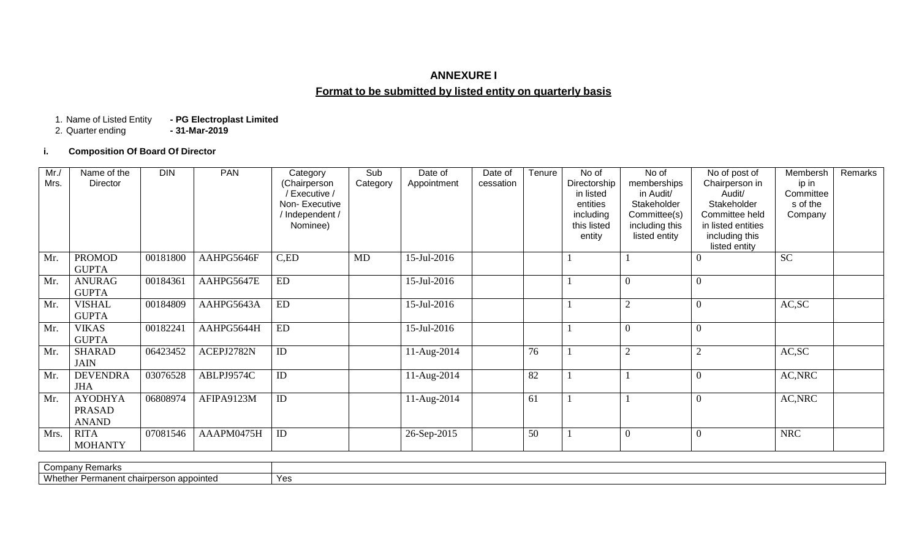## **ANNEXURE I**

# **Format to be submitted by listed entity on quarterly basis**

- PG Electroplast Limited<br>- 31-Mar-2019 1. Name of Listed Entity<br>2. Quarter ending

## **i. Composition Of Board Of Director**

| Mr.<br>Mrs. | Name of the<br><b>Director</b>                  | <b>DIN</b> | <b>PAN</b> | Category<br>(Chairperson<br>/ Executive /<br>Non-Executive<br>/ Independent /<br>Nominee) | Sub<br>Category | Date of<br>Appointment | Date of<br>cessation | Tenure | No of<br>Directorship<br>in listed<br>entities<br>including<br>this listed<br>entity | No of<br>memberships<br>in Audit/<br>Stakeholder<br>Committee(s)<br>including this<br>listed entity | No of post of<br>Chairperson in<br>Audit/<br>Stakeholder<br>Committee held<br>in listed entities<br>including this<br>listed entity | Membersh<br>ip in<br>Committee<br>s of the<br>Company | Remarks |
|-------------|-------------------------------------------------|------------|------------|-------------------------------------------------------------------------------------------|-----------------|------------------------|----------------------|--------|--------------------------------------------------------------------------------------|-----------------------------------------------------------------------------------------------------|-------------------------------------------------------------------------------------------------------------------------------------|-------------------------------------------------------|---------|
| Mr.         | <b>PROMOD</b><br><b>GUPTA</b>                   | 00181800   | AAHPG5646F | C,ED                                                                                      | MD              | 15-Jul-2016            |                      |        |                                                                                      |                                                                                                     |                                                                                                                                     | <b>SC</b>                                             |         |
| Mr.         | <b>ANURAG</b><br><b>GUPTA</b>                   | 00184361   | AAHPG5647E | ED                                                                                        |                 | 15-Jul-2016            |                      |        |                                                                                      | $\mathbf{0}$                                                                                        | $\Omega$                                                                                                                            |                                                       |         |
| Mr.         | <b>VISHAL</b><br><b>GUPTA</b>                   | 00184809   | AAHPG5643A | ED                                                                                        |                 | 15-Jul-2016            |                      |        |                                                                                      | $\mathfrak{2}$                                                                                      | $\overline{0}$                                                                                                                      | AC,SC                                                 |         |
| Mr.         | <b>VIKAS</b><br><b>GUPTA</b>                    | 00182241   | AAHPG5644H | ED                                                                                        |                 | 15-Jul-2016            |                      |        |                                                                                      | $\mathbf{0}$                                                                                        | $\mathbf{0}$                                                                                                                        |                                                       |         |
| Mr.         | <b>SHARAD</b><br><b>JAIN</b>                    | 06423452   | ACEPJ2782N | ID                                                                                        |                 | 11-Aug-2014            |                      | 76     |                                                                                      | $\mathfrak{2}$                                                                                      | $\overline{c}$                                                                                                                      | AC, SC                                                |         |
| Mr.         | <b>DEVENDRA</b><br><b>JHA</b>                   | 03076528   | ABLPJ9574C | ID                                                                                        |                 | 11-Aug-2014            |                      | 82     |                                                                                      |                                                                                                     | $\boldsymbol{0}$                                                                                                                    | AC, NRC                                               |         |
| Mr.         | <b>AYODHYA</b><br><b>PRASAD</b><br><b>ANAND</b> | 06808974   | AFIPA9123M | ID                                                                                        |                 | 11-Aug-2014            |                      | 61     |                                                                                      |                                                                                                     | $\mathbf{0}$                                                                                                                        | AC, NRC                                               |         |
| Mrs.        | <b>RITA</b><br><b>MOHANTY</b>                   | 07081546   | AAAPM0475H | ID                                                                                        |                 | 26-Sep-2015            |                      | 50     |                                                                                      | $\mathbf{0}$                                                                                        | $\Omega$                                                                                                                            | <b>NRC</b>                                            |         |

| Compar<br>v Remarks                                                                       |         |
|-------------------------------------------------------------------------------------------|---------|
| <b>Whethe</b><br>≅ernerson appointed<br>-----<br><sup>.</sup> Permane<br><br>ιιι υπαιινσι | $\cdot$ |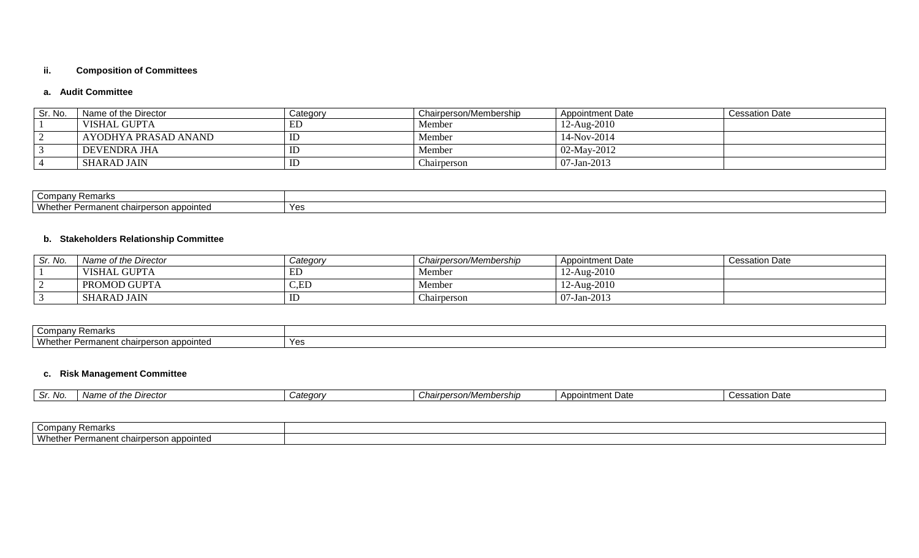## **ii. Composition of Committees**

## **a. Audit Committee**

| Sr. No. | Name of the Director | Category | Chairperson/Membership | <b>Appointment Date</b> | <b>Cessation Date</b> |
|---------|----------------------|----------|------------------------|-------------------------|-----------------------|
|         | VISHAL GUPTA         | EL       | Member                 | 12-Aug-2010             |                       |
|         | AYODHYA PRASAD ANAND | ID       | Member                 | 14-Nov-2014             |                       |
|         | DEVENDRA JHA         | ID       | Member                 | 02-May-2012             |                       |
|         | SHARAD JAIN          | ID       | Chairperson            | $07-Jan-2013$           |                       |

| Company Remarks                                                                        |     |
|----------------------------------------------------------------------------------------|-----|
| Whether<br>airperson appointed<br>nanant oh<br>120 <sub>5</sub><br>ப≂ப<br>படங<br>$-11$ | Yes |

## **b. Stakeholders Relationship Committee**

| Sr. No. | Name of the Director | Category                | Chairperson/Membership | <b>Appointment Date</b> | <b>Cessation Date</b> |
|---------|----------------------|-------------------------|------------------------|-------------------------|-----------------------|
|         | VISHAL GUPTA         | ЕL                      | Member                 | $12-Aug-2010$           |                       |
|         | <b>PROMOD GUPTA</b>  | C,ED                    | Member                 | 12-Aug-2010             |                       |
|         | <b>SHARAD JAIN</b>   | $\mathbb{I} \mathbb{L}$ | hairperson             | 07-Jan-2013             |                       |

| pany Remarks<br>Comp                                                        |     |
|-----------------------------------------------------------------------------|-----|
| Whethe <sub>r</sub><br>manent chairperson appointed<br>$\sim$ Darm<br>- 611 | Yes |

## **c. Risk Management Committee**

| ∵ No.<br>ັ | the Director<br><b>Nome</b><br>$\mathbf{r}$<br>1 vallit | <i>Categorv</i> | $\sim$<br>/Membership<br>on/M<br>nairper - | $\Lambda$ nnor<br>ata<br>ntmen.<br>$\overline{\phantom{0}}$<br>ι υαισ<br>,,,,,, | ⊦ Date<br>`essation. |
|------------|---------------------------------------------------------|-----------------|--------------------------------------------|---------------------------------------------------------------------------------|----------------------|
|            |                                                         |                 |                                            |                                                                                 |                      |

| Company Remarks                                                |  |
|----------------------------------------------------------------|--|
| Whether<br>manent chairperson appointed<br><b>Dorm</b><br>- 11 |  |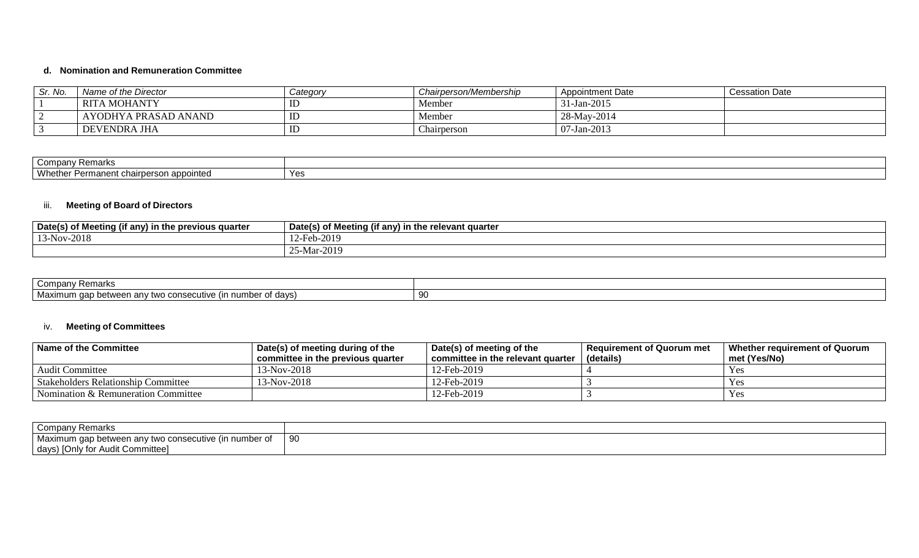## **d. Nomination and Remuneration Committee**

| Sr. No. | Name of the Director | Category | Chairperson/Membership | Appointment Date | <b>Cessation Date</b> |
|---------|----------------------|----------|------------------------|------------------|-----------------------|
|         | <b>RITA MOHANTY</b>  | ΙU       | Member                 | 31-Jan-2015      |                       |
|         | AYODHYA PRASAD ANAND | ᄔ        | Member                 | 28-May-2014      |                       |
|         | DEVENDRA JHA         | ΙU       | Chairperson            | $07-Jan-2013$    |                       |

| Compa<br>Remarks                                                                                         |                                 |
|----------------------------------------------------------------------------------------------------------|---------------------------------|
| Wheth.<br>appointed<br>ermanent?<br>$\sim$ $\sim$<br>.<br>ulallu<br>71.SV 71<br>$\overline{\phantom{a}}$ | $\mathsf{v}_\mathsf{a}$<br>יט ו |

## iii. **Meeting of Board of Directors**

| Date(s)<br><br>r) in the previous quarter<br>. Meeting (if any) | ่ if anv) in the relevant quarter<br>Date(s) of Meeting (if ≦ |
|-----------------------------------------------------------------|---------------------------------------------------------------|
| 13-Nov-2018                                                     | 2019-ر<br>$-$ Lor.                                            |
|                                                                 | $J$ -Mar-2019<br>$\cap$ $\subset$ $\wedge$                    |

| Company Remarks                                                                                            |    |
|------------------------------------------------------------------------------------------------------------|----|
| Maximum gap L<br>ımber<br>consecutive (in-<br>≅of davs.<br>vatwaan anv tv<br>/ two<br><u>velweeli aliv</u> | 90 |

## iv. **Meeting of Committees**

| Name of the Committee                      | Date(s) of meeting during of the<br>committee in the previous quarter | Date(s) of meeting of the<br>committee in the relevant quarter | <b>Requirement of Quorum met</b><br>(details) | Whether reauirement of Quorum<br>met (Yes/No) |
|--------------------------------------------|-----------------------------------------------------------------------|----------------------------------------------------------------|-----------------------------------------------|-----------------------------------------------|
| <b>Audit Committee</b>                     | $13-Nov-2018$                                                         | 12-Feb-2019                                                    |                                               | Yes                                           |
| <b>Stakeholders Relationship Committee</b> | 13-Nov-2018                                                           | 12-Feb-2019                                                    |                                               | Yes                                           |
| Nomination & Remuneration Committee        |                                                                       | 12-Feb-2019                                                    |                                               | Yes                                           |

| <b>Company Remarks</b>                                            |            |
|-------------------------------------------------------------------|------------|
| Maximum<br>v two consecutive (in number of<br>, dap between anv † | . വ<br>ັສບ |
| days) [Only for Audit Committee]                                  |            |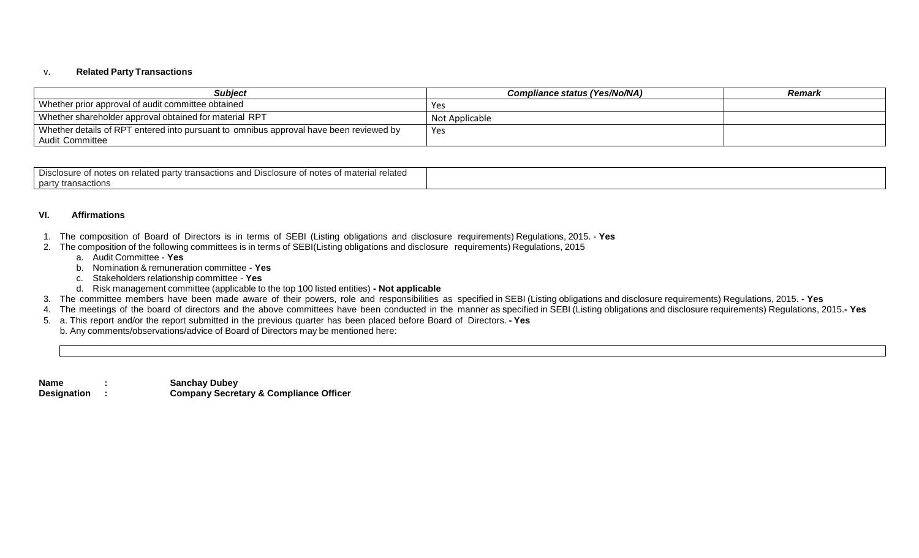#### v. **Related Party Transactions**

| <b>Subiect</b>                                                                         | Compliance status (Yes/No/NA) | Remark |
|----------------------------------------------------------------------------------------|-------------------------------|--------|
| Whether prior approval of audit committee obtained                                     | Yes                           |        |
| Whether shareholder approval obtained for material RPT                                 | Not Applicable                |        |
| Whether details of RPT entered into pursuant to omnibus approval have been reviewed by | Yes                           |        |
| Audit Committee                                                                        |                               |        |

| Disclosure of notes of<br>n related party transactions and Disclosure of i<br>related<br>of material<br>าotes c |  |
|-----------------------------------------------------------------------------------------------------------------|--|
| party transactions<br>$\sim$                                                                                    |  |

#### **VI. Affirmations**

- 1. The composition of Board of Directors is in terms of SEBI (Listing obligations and disclosure requirements) Regulations, 2015. **Yes**
- 2. The composition of the following committees is in terms of SEBI(Listing obligations and disclosure requirements) Regulations, 2015
	- a. Audit Committee **Yes**
	- b. Nomination & remuneration committee **Yes**
	- c. Stakeholders relationship committee **Yes**
	- d. Risk management committee (applicable to the top 100 listed entities) **- Not applicable**
- 3. The committee members have been made aware of their powers, role and responsibilities as specified in SEBI (Listing obligations and disclosure requirements) Regulations, 2015. **- Yes**
- 4. The meetings of the board of directors and the above committees have been conducted in the manner as specified in SEBI (Listing obligations and disclosure requirements) Regulations, 2015.**- Yes**
- 5. a. This report and/or the report submitted in the previous quarter has been placed before Board of Directors. **- Yes**
	- b. Any comments/observations/advice of Board of Directors may be mentioned here:

| <b>Name</b>        | <b>Sanchay Dubey</b>                              |
|--------------------|---------------------------------------------------|
| <b>Designation</b> | <b>Company Secretary &amp; Compliance Officer</b> |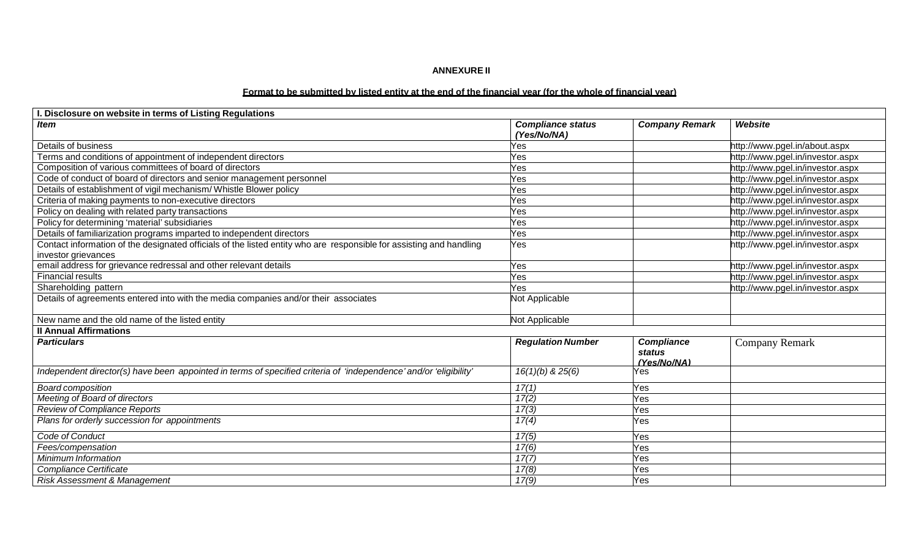#### **ANNEXURE II**

## Format to be submitted by listed entity at the end of the financial year (for the whole of financial year)

| I. Disclosure on website in terms of Listing Regulations                                                            |                                         |                                            |                                  |
|---------------------------------------------------------------------------------------------------------------------|-----------------------------------------|--------------------------------------------|----------------------------------|
| <b>Item</b>                                                                                                         | <b>Compliance status</b><br>(Yes/No/NA) | <b>Company Remark</b>                      | Website                          |
| Details of business                                                                                                 | Yes                                     |                                            | http://www.pgel.in/about.aspx    |
| Terms and conditions of appointment of independent directors                                                        | Yes                                     |                                            | http://www.pgel.in/investor.aspx |
| Composition of various committees of board of directors                                                             | Yes                                     |                                            | http://www.pgel.in/investor.aspx |
| Code of conduct of board of directors and senior management personnel                                               | Yes                                     |                                            | http://www.pgel.in/investor.aspx |
| Details of establishment of vigil mechanism/Whistle Blower policy                                                   | Yes                                     |                                            | http://www.pgel.in/investor.aspx |
| Criteria of making payments to non-executive directors                                                              | Yes                                     |                                            | http://www.pgel.in/investor.aspx |
| Policy on dealing with related party transactions                                                                   | Yes                                     |                                            | http://www.pgel.in/investor.aspx |
| Policy for determining 'material' subsidiaries                                                                      | Yes                                     |                                            | http://www.pgel.in/investor.aspx |
| Details of familiarization programs imparted to independent directors                                               | Yes                                     |                                            | http://www.pgel.in/investor.aspx |
| Contact information of the designated officials of the listed entity who are responsible for assisting and handling | Yes                                     |                                            | http://www.pgel.in/investor.aspx |
| investor grievances                                                                                                 |                                         |                                            |                                  |
| email address for grievance redressal and other relevant details                                                    | Yes                                     |                                            | http://www.pgel.in/investor.aspx |
| <b>Financial results</b>                                                                                            | Yes                                     |                                            | http://www.pgel.in/investor.aspx |
| Shareholding pattern                                                                                                | Yes                                     |                                            | http://www.pgel.in/investor.aspx |
| Details of agreements entered into with the media companies and/or their associates                                 | Not Applicable                          |                                            |                                  |
| New name and the old name of the listed entity                                                                      | Not Applicable                          |                                            |                                  |
| <b>Il Annual Affirmations</b>                                                                                       |                                         |                                            |                                  |
| <b>Particulars</b>                                                                                                  | <b>Regulation Number</b>                | <b>Compliance</b><br>status<br>(Yes/No/NA) | <b>Company Remark</b>            |
| Independent director(s) have been appointed in terms of specified criteria of 'independence' and/or 'eligibility'   | $16(1)(b)$ & $25(6)$                    | Yes                                        |                                  |
| <b>Board composition</b>                                                                                            | 17(1)                                   | Yes                                        |                                  |
| Meeting of Board of directors                                                                                       | 17(2)                                   | Yes                                        |                                  |
| <b>Review of Compliance Reports</b>                                                                                 | 17(3)                                   | Yes                                        |                                  |
| Plans for orderly succession for appointments                                                                       | 17(4)                                   | Yes                                        |                                  |
| Code of Conduct                                                                                                     | 17(5)                                   | Yes                                        |                                  |
| Fees/compensation                                                                                                   | 17(6)                                   | Yes                                        |                                  |
| Minimum Information                                                                                                 | 17(7)                                   | Yes                                        |                                  |
| Compliance Certificate                                                                                              | 17(8)                                   | Yes                                        |                                  |
| <b>Risk Assessment &amp; Management</b>                                                                             | 17(9)                                   | Yes                                        |                                  |